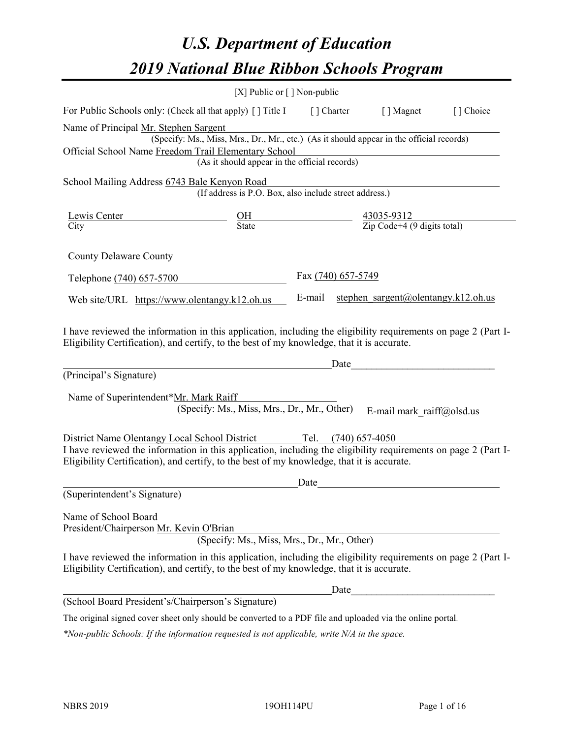# *U.S. Department of Education 2019 National Blue Ribbon Schools Program*

|                                                                                                                                                                                                                                                                                   | [X] Public or [] Non-public                                                                                                                                     |                    |                                            |           |
|-----------------------------------------------------------------------------------------------------------------------------------------------------------------------------------------------------------------------------------------------------------------------------------|-----------------------------------------------------------------------------------------------------------------------------------------------------------------|--------------------|--------------------------------------------|-----------|
| For Public Schools only: (Check all that apply) [] Title I [] Charter [] Magnet                                                                                                                                                                                                   |                                                                                                                                                                 |                    |                                            | [] Choice |
| Name of Principal Mr. Stephen Sargent<br>Official School Name Freedom Trail Elementary School                                                                                                                                                                                     | r. Stephen Sargent<br>(Specify: Ms., Miss, Mrs., Dr., Mr., etc.) (As it should appear in the official records)<br>(As it should appear in the official records) |                    |                                            |           |
| School Mailing Address 6743 Bale Kenyon Road                                                                                                                                                                                                                                      | (If address is P.O. Box, also include street address.)                                                                                                          |                    |                                            |           |
| $\frac{\text{Lewis Center}}{\text{City}}$ $\frac{\text{OH}}{\text{State}}$ $\frac{43035-9312}{\text{Zip Code}+4 (9 \text{ digits total})}$                                                                                                                                        |                                                                                                                                                                 |                    |                                            |           |
| County Delaware County                                                                                                                                                                                                                                                            |                                                                                                                                                                 |                    |                                            |           |
| Telephone (740) 657-5700                                                                                                                                                                                                                                                          |                                                                                                                                                                 | Fax (740) 657-5749 |                                            |           |
| Web site/URL https://www.olentangy.k12.oh.us                                                                                                                                                                                                                                      |                                                                                                                                                                 |                    | E-mail stephen sargent@olentangy.k12.oh.us |           |
| I have reviewed the information in this application, including the eligibility requirements on page 2 (Part I-<br>Eligibility Certification), and certify, to the best of my knowledge, that it is accurate.<br>(Principal's Signature)<br>Name of Superintendent*Mr. Mark Raiff  | (Specify: Ms., Miss, Mrs., Dr., Mr., Other)                                                                                                                     | Date               | E-mail mark raiff@olsd.us                  |           |
| District Name Olentangy Local School District Tel. (740) 657-4050<br>I have reviewed the information in this application, including the eligibility requirements on page 2 (Part I-<br>Eligibility Certification), and certify, to the best of my knowledge, that it is accurate. |                                                                                                                                                                 |                    |                                            |           |
| (Superintendent's Signature)                                                                                                                                                                                                                                                      |                                                                                                                                                                 | Date               |                                            |           |
| Name of School Board<br>President/Chairperson Mr. Kevin O'Brian                                                                                                                                                                                                                   | (Specify: Ms., Miss, Mrs., Dr., Mr., Other)                                                                                                                     |                    |                                            |           |
| I have reviewed the information in this application, including the eligibility requirements on page 2 (Part I-<br>Eligibility Certification), and certify, to the best of my knowledge, that it is accurate.                                                                      |                                                                                                                                                                 |                    |                                            |           |
|                                                                                                                                                                                                                                                                                   |                                                                                                                                                                 | Date               |                                            |           |
| (School Board President's/Chairperson's Signature)                                                                                                                                                                                                                                |                                                                                                                                                                 |                    |                                            |           |
| The original signed cover sheet only should be converted to a PDF file and uploaded via the online portal.                                                                                                                                                                        |                                                                                                                                                                 |                    |                                            |           |

*\*Non-public Schools: If the information requested is not applicable, write N/A in the space.*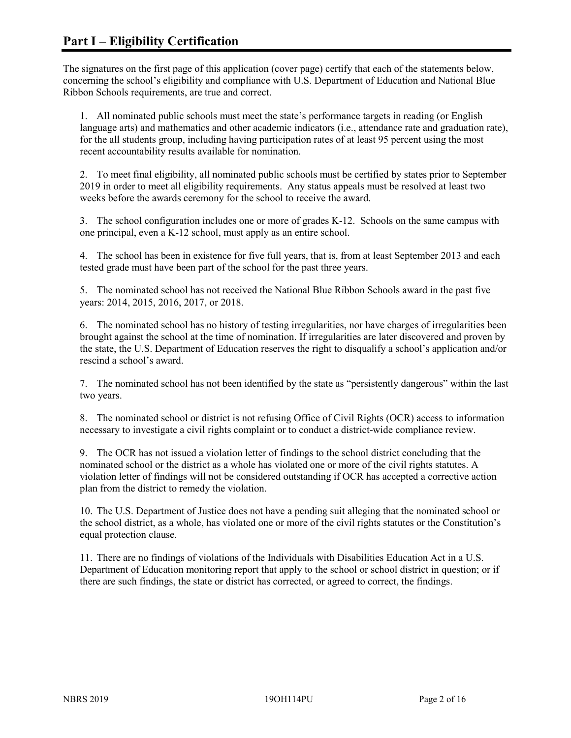The signatures on the first page of this application (cover page) certify that each of the statements below, concerning the school's eligibility and compliance with U.S. Department of Education and National Blue Ribbon Schools requirements, are true and correct.

1. All nominated public schools must meet the state's performance targets in reading (or English language arts) and mathematics and other academic indicators (i.e., attendance rate and graduation rate), for the all students group, including having participation rates of at least 95 percent using the most recent accountability results available for nomination.

2. To meet final eligibility, all nominated public schools must be certified by states prior to September 2019 in order to meet all eligibility requirements. Any status appeals must be resolved at least two weeks before the awards ceremony for the school to receive the award.

3. The school configuration includes one or more of grades K-12. Schools on the same campus with one principal, even a K-12 school, must apply as an entire school.

4. The school has been in existence for five full years, that is, from at least September 2013 and each tested grade must have been part of the school for the past three years.

5. The nominated school has not received the National Blue Ribbon Schools award in the past five years: 2014, 2015, 2016, 2017, or 2018.

6. The nominated school has no history of testing irregularities, nor have charges of irregularities been brought against the school at the time of nomination. If irregularities are later discovered and proven by the state, the U.S. Department of Education reserves the right to disqualify a school's application and/or rescind a school's award.

7. The nominated school has not been identified by the state as "persistently dangerous" within the last two years.

8. The nominated school or district is not refusing Office of Civil Rights (OCR) access to information necessary to investigate a civil rights complaint or to conduct a district-wide compliance review.

9. The OCR has not issued a violation letter of findings to the school district concluding that the nominated school or the district as a whole has violated one or more of the civil rights statutes. A violation letter of findings will not be considered outstanding if OCR has accepted a corrective action plan from the district to remedy the violation.

10. The U.S. Department of Justice does not have a pending suit alleging that the nominated school or the school district, as a whole, has violated one or more of the civil rights statutes or the Constitution's equal protection clause.

11. There are no findings of violations of the Individuals with Disabilities Education Act in a U.S. Department of Education monitoring report that apply to the school or school district in question; or if there are such findings, the state or district has corrected, or agreed to correct, the findings.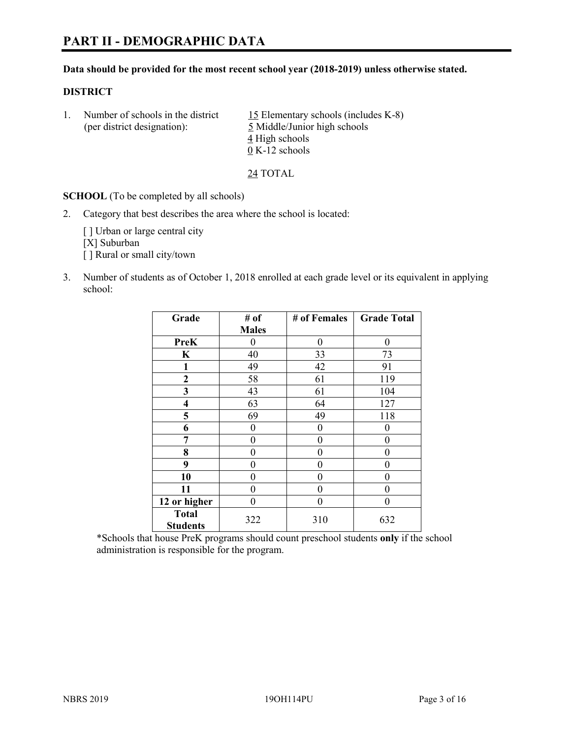#### **Data should be provided for the most recent school year (2018-2019) unless otherwise stated.**

# **DISTRICT**

| (per district designation): | Number of schools in the district | 15 Elementary schools (includes K-8)<br>5 Middle/Junior high schools |  |
|-----------------------------|-----------------------------------|----------------------------------------------------------------------|--|
|                             |                                   | 4 High schools                                                       |  |
|                             |                                   | $0 K-12$ schools                                                     |  |

24 TOTAL

**SCHOOL** (To be completed by all schools)

2. Category that best describes the area where the school is located:

[] Urban or large central city [X] Suburban [] Rural or small city/town

3. Number of students as of October 1, 2018 enrolled at each grade level or its equivalent in applying school:

| Grade                           | # of         | # of Females | <b>Grade Total</b> |  |
|---------------------------------|--------------|--------------|--------------------|--|
|                                 | <b>Males</b> |              |                    |  |
| <b>PreK</b>                     | 0            | $\theta$     | 0                  |  |
| $\mathbf K$                     | 40           | 33           | 73                 |  |
| 1                               | 49           | 42           | 91                 |  |
| 2                               | 58           | 61           | 119                |  |
| 3                               | 43           | 61           | 104                |  |
| $\overline{\mathbf{4}}$         | 63           | 64           | 127                |  |
| 5                               | 69           | 49           | 118                |  |
| 6                               | 0            | $\theta$     | 0                  |  |
| 7                               | 0            | $\theta$     | 0                  |  |
| 8                               | 0            | 0            | 0                  |  |
| 9                               | 0            | 0            | 0                  |  |
| 10                              | 0            | 0            | 0                  |  |
| 11                              | $\theta$     | 0            | 0                  |  |
| 12 or higher                    | 0            | 0            | 0                  |  |
| <b>Total</b><br><b>Students</b> | 322          | 310          | 632                |  |

\*Schools that house PreK programs should count preschool students **only** if the school administration is responsible for the program.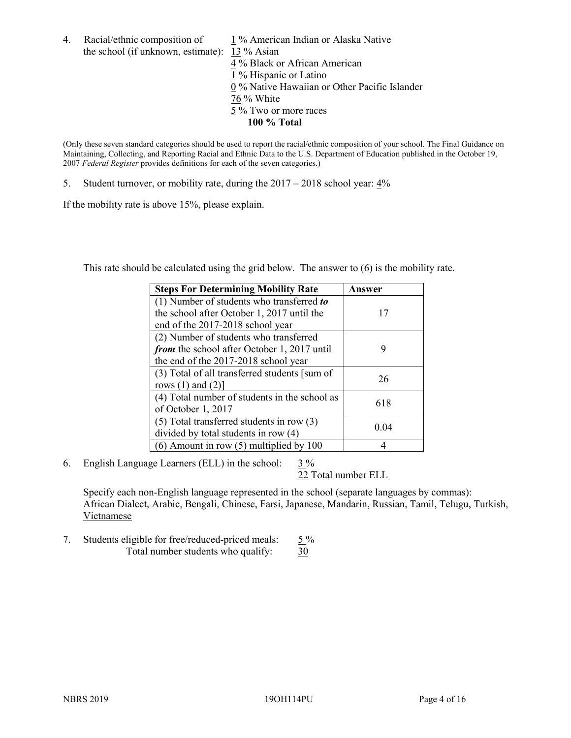the school (if unknown, estimate): 13 % Asian

4. Racial/ethnic composition of  $1\%$  American Indian or Alaska Native 4 % Black or African American 1 % Hispanic or Latino 0 % Native Hawaiian or Other Pacific Islander 76 % White 5 % Two or more races **100 % Total**

(Only these seven standard categories should be used to report the racial/ethnic composition of your school. The Final Guidance on Maintaining, Collecting, and Reporting Racial and Ethnic Data to the U.S. Department of Education published in the October 19, 2007 *Federal Register* provides definitions for each of the seven categories.)

5. Student turnover, or mobility rate, during the 2017 – 2018 school year: 4%

If the mobility rate is above 15%, please explain.

This rate should be calculated using the grid below. The answer to (6) is the mobility rate.

| <b>Steps For Determining Mobility Rate</b>    | Answer |
|-----------------------------------------------|--------|
| (1) Number of students who transferred to     |        |
| the school after October 1, 2017 until the    | 17     |
| end of the 2017-2018 school year              |        |
| (2) Number of students who transferred        |        |
| from the school after October 1, 2017 until   | 9      |
| the end of the 2017-2018 school year          |        |
| (3) Total of all transferred students [sum of | 26     |
| rows $(1)$ and $(2)$ ]                        |        |
| (4) Total number of students in the school as |        |
| of October 1, 2017                            | 618    |
| $(5)$ Total transferred students in row $(3)$ |        |
| divided by total students in row (4)          | 0.04   |
| $(6)$ Amount in row $(5)$ multiplied by 100   |        |

6. English Language Learners (ELL) in the school:  $3\%$ 

22 Total number ELL

Specify each non-English language represented in the school (separate languages by commas): African Dialect, Arabic, Bengali, Chinese, Farsi, Japanese, Mandarin, Russian, Tamil, Telugu, Turkish, Vietnamese

7. Students eligible for free/reduced-priced meals:  $5\%$ Total number students who qualify: 30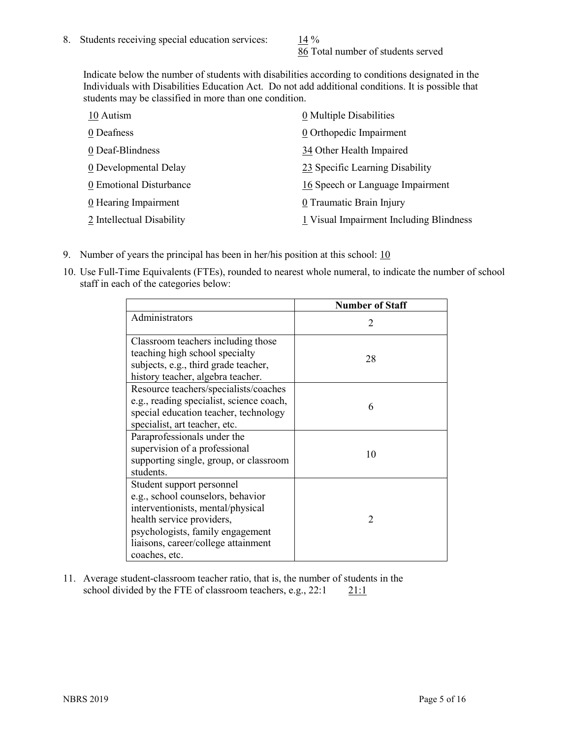86 Total number of students served

Indicate below the number of students with disabilities according to conditions designated in the Individuals with Disabilities Education Act. Do not add additional conditions. It is possible that students may be classified in more than one condition.

| 10 Autism                 | 0 Multiple Disabilities                 |
|---------------------------|-----------------------------------------|
| 0 Deafness                | 0 Orthopedic Impairment                 |
| 0 Deaf-Blindness          | 34 Other Health Impaired                |
| 0 Developmental Delay     | 23 Specific Learning Disability         |
| 0 Emotional Disturbance   | 16 Speech or Language Impairment        |
| 0 Hearing Impairment      | 0 Traumatic Brain Injury                |
| 2 Intellectual Disability | 1 Visual Impairment Including Blindness |

- 9. Number of years the principal has been in her/his position at this school:  $10$
- 10. Use Full-Time Equivalents (FTEs), rounded to nearest whole numeral, to indicate the number of school staff in each of the categories below:

|                                                                                                                                                                                                                              | <b>Number of Staff</b> |
|------------------------------------------------------------------------------------------------------------------------------------------------------------------------------------------------------------------------------|------------------------|
| Administrators                                                                                                                                                                                                               | 2                      |
| Classroom teachers including those<br>teaching high school specialty<br>subjects, e.g., third grade teacher,<br>history teacher, algebra teacher.                                                                            | 28                     |
| Resource teachers/specialists/coaches<br>e.g., reading specialist, science coach,<br>special education teacher, technology<br>specialist, art teacher, etc.                                                                  | 6                      |
| Paraprofessionals under the<br>supervision of a professional<br>supporting single, group, or classroom<br>students.                                                                                                          | 10                     |
| Student support personnel<br>e.g., school counselors, behavior<br>interventionists, mental/physical<br>health service providers,<br>psychologists, family engagement<br>liaisons, career/college attainment<br>coaches, etc. | 2                      |

11. Average student-classroom teacher ratio, that is, the number of students in the school divided by the FTE of classroom teachers, e.g.,  $22:1$  21:1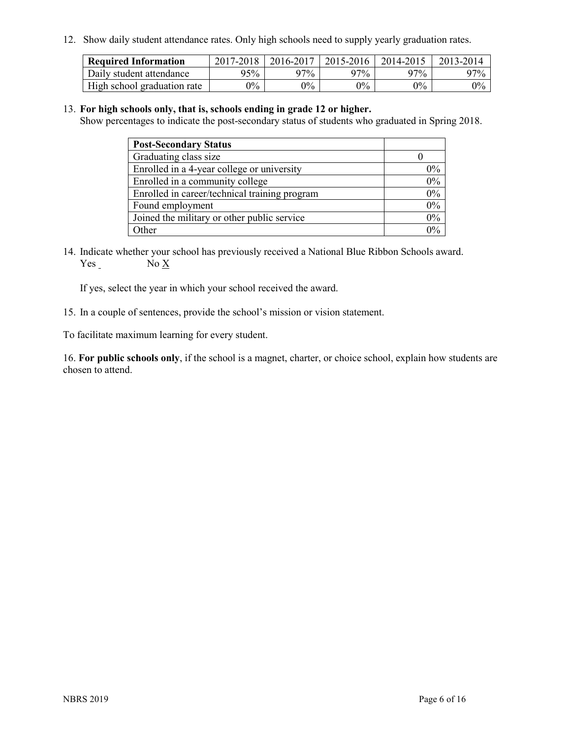12. Show daily student attendance rates. Only high schools need to supply yearly graduation rates.

| <b>Required Information</b> | 2017-2018 | 2016-2017 | 2015-2016 | 2014-2015 | 2013-2014 |
|-----------------------------|-----------|-----------|-----------|-----------|-----------|
| Daily student attendance    | 95%       | 97%       | 97%       | 97%       | $97\%$    |
| High school graduation rate | $0\%$     | $0\%$     | $0\%$     | $9\%$     | $0\%$     |

#### 13. **For high schools only, that is, schools ending in grade 12 or higher.**

Show percentages to indicate the post-secondary status of students who graduated in Spring 2018.

| <b>Post-Secondary Status</b>                  |           |
|-----------------------------------------------|-----------|
| Graduating class size                         |           |
| Enrolled in a 4-year college or university    | $0\%$     |
| Enrolled in a community college               | 0%        |
| Enrolled in career/technical training program | $0\%$     |
| Found employment                              | 0%        |
| Joined the military or other public service   | 0%        |
| Other                                         | በዓ $\sim$ |

14. Indicate whether your school has previously received a National Blue Ribbon Schools award. Yes No X

If yes, select the year in which your school received the award.

15. In a couple of sentences, provide the school's mission or vision statement.

To facilitate maximum learning for every student.

16. **For public schools only**, if the school is a magnet, charter, or choice school, explain how students are chosen to attend.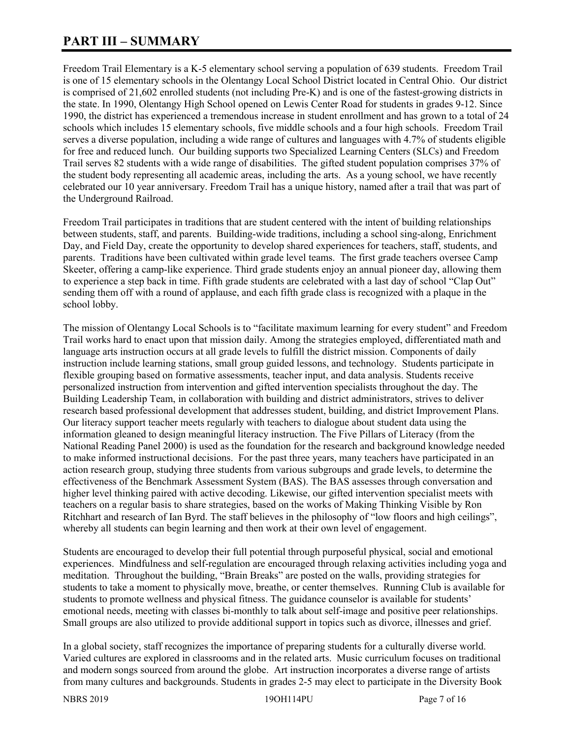# **PART III – SUMMARY**

Freedom Trail Elementary is a K-5 elementary school serving a population of 639 students. Freedom Trail is one of 15 elementary schools in the Olentangy Local School District located in Central Ohio. Our district is comprised of 21,602 enrolled students (not including Pre-K) and is one of the fastest-growing districts in the state. In 1990, Olentangy High School opened on Lewis Center Road for students in grades 9-12. Since 1990, the district has experienced a tremendous increase in student enrollment and has grown to a total of 24 schools which includes 15 elementary schools, five middle schools and a four high schools. Freedom Trail serves a diverse population, including a wide range of cultures and languages with 4.7% of students eligible for free and reduced lunch. Our building supports two Specialized Learning Centers (SLCs) and Freedom Trail serves 82 students with a wide range of disabilities. The gifted student population comprises 37% of the student body representing all academic areas, including the arts. As a young school, we have recently celebrated our 10 year anniversary. Freedom Trail has a unique history, named after a trail that was part of the Underground Railroad.

Freedom Trail participates in traditions that are student centered with the intent of building relationships between students, staff, and parents. Building-wide traditions, including a school sing-along, Enrichment Day, and Field Day, create the opportunity to develop shared experiences for teachers, staff, students, and parents. Traditions have been cultivated within grade level teams. The first grade teachers oversee Camp Skeeter, offering a camp-like experience. Third grade students enjoy an annual pioneer day, allowing them to experience a step back in time. Fifth grade students are celebrated with a last day of school "Clap Out" sending them off with a round of applause, and each fifth grade class is recognized with a plaque in the school lobby.

The mission of Olentangy Local Schools is to "facilitate maximum learning for every student" and Freedom Trail works hard to enact upon that mission daily. Among the strategies employed, differentiated math and language arts instruction occurs at all grade levels to fulfill the district mission. Components of daily instruction include learning stations, small group guided lessons, and technology. Students participate in flexible grouping based on formative assessments, teacher input, and data analysis. Students receive personalized instruction from intervention and gifted intervention specialists throughout the day. The Building Leadership Team, in collaboration with building and district administrators, strives to deliver research based professional development that addresses student, building, and district Improvement Plans. Our literacy support teacher meets regularly with teachers to dialogue about student data using the information gleaned to design meaningful literacy instruction. The Five Pillars of Literacy (from the National Reading Panel 2000) is used as the foundation for the research and background knowledge needed to make informed instructional decisions. For the past three years, many teachers have participated in an action research group, studying three students from various subgroups and grade levels, to determine the effectiveness of the Benchmark Assessment System (BAS). The BAS assesses through conversation and higher level thinking paired with active decoding. Likewise, our gifted intervention specialist meets with teachers on a regular basis to share strategies, based on the works of Making Thinking Visible by Ron Ritchhart and research of Ian Byrd. The staff believes in the philosophy of "low floors and high ceilings", whereby all students can begin learning and then work at their own level of engagement.

Students are encouraged to develop their full potential through purposeful physical, social and emotional experiences. Mindfulness and self-regulation are encouraged through relaxing activities including yoga and meditation. Throughout the building, "Brain Breaks" are posted on the walls, providing strategies for students to take a moment to physically move, breathe, or center themselves. Running Club is available for students to promote wellness and physical fitness. The guidance counselor is available for students' emotional needs, meeting with classes bi-monthly to talk about self-image and positive peer relationships. Small groups are also utilized to provide additional support in topics such as divorce, illnesses and grief.

In a global society, staff recognizes the importance of preparing students for a culturally diverse world. Varied cultures are explored in classrooms and in the related arts. Music curriculum focuses on traditional and modern songs sourced from around the globe. Art instruction incorporates a diverse range of artists from many cultures and backgrounds. Students in grades 2-5 may elect to participate in the Diversity Book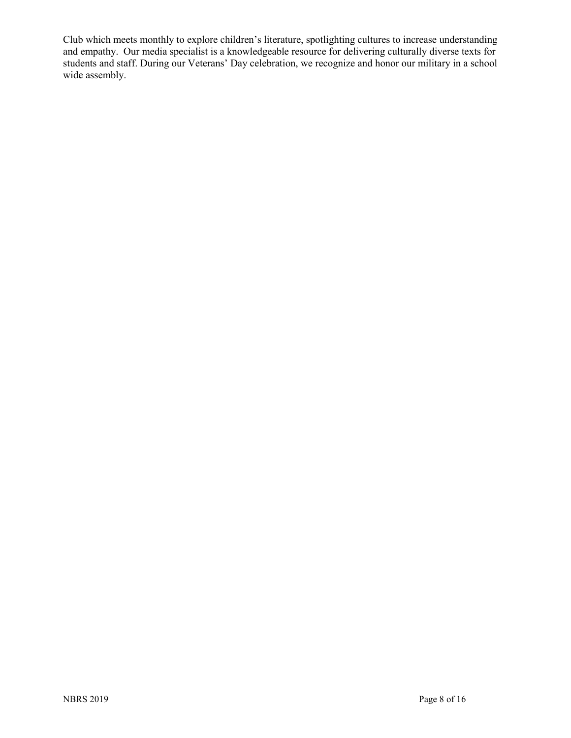Club which meets monthly to explore children's literature, spotlighting cultures to increase understanding and empathy. Our media specialist is a knowledgeable resource for delivering culturally diverse texts for students and staff. During our Veterans' Day celebration, we recognize and honor our military in a school wide assembly.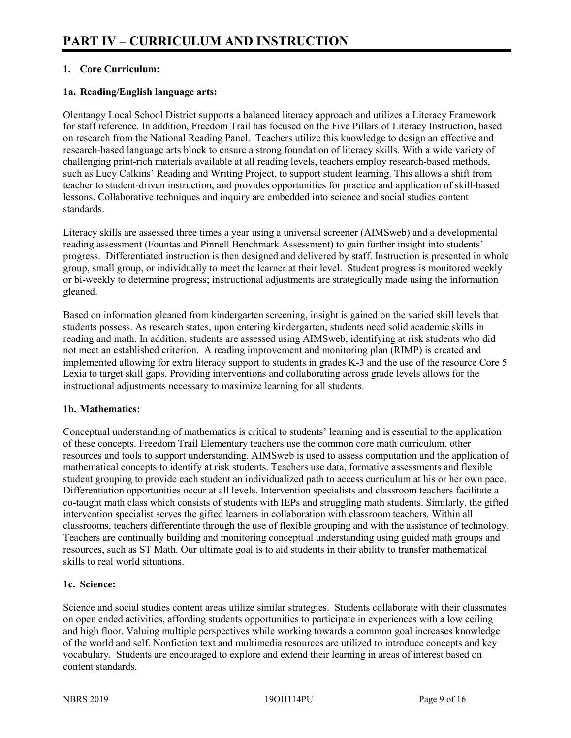# **1. Core Curriculum:**

# **1a. Reading/English language arts:**

Olentangy Local School District supports a balanced literacy approach and utilizes a Literacy Framework for staff reference. In addition, Freedom Trail has focused on the Five Pillars of Literacy Instruction, based on research from the National Reading Panel. Teachers utilize this knowledge to design an effective and research-based language arts block to ensure a strong foundation of literacy skills. With a wide variety of challenging print-rich materials available at all reading levels, teachers employ research-based methods, such as Lucy Calkins' Reading and Writing Project, to support student learning. This allows a shift from teacher to student-driven instruction, and provides opportunities for practice and application of skill-based lessons. Collaborative techniques and inquiry are embedded into science and social studies content standards.

Literacy skills are assessed three times a year using a universal screener (AIMSweb) and a developmental reading assessment (Fountas and Pinnell Benchmark Assessment) to gain further insight into students' progress. Differentiated instruction is then designed and delivered by staff. Instruction is presented in whole group, small group, or individually to meet the learner at their level. Student progress is monitored weekly or bi-weekly to determine progress; instructional adjustments are strategically made using the information gleaned.

Based on information gleaned from kindergarten screening, insight is gained on the varied skill levels that students possess. As research states, upon entering kindergarten, students need solid academic skills in reading and math. In addition, students are assessed using AIMSweb, identifying at risk students who did not meet an established criterion. A reading improvement and monitoring plan (RIMP) is created and implemented allowing for extra literacy support to students in grades K-3 and the use of the resource Core 5 Lexia to target skill gaps. Providing interventions and collaborating across grade levels allows for the instructional adjustments necessary to maximize learning for all students.

#### **1b. Mathematics:**

Conceptual understanding of mathematics is critical to students' learning and is essential to the application of these concepts. Freedom Trail Elementary teachers use the common core math curriculum, other resources and tools to support understanding. AIMSweb is used to assess computation and the application of mathematical concepts to identify at risk students. Teachers use data, formative assessments and flexible student grouping to provide each student an individualized path to access curriculum at his or her own pace. Differentiation opportunities occur at all levels. Intervention specialists and classroom teachers facilitate a co-taught math class which consists of students with IEPs and struggling math students. Similarly, the gifted intervention specialist serves the gifted learners in collaboration with classroom teachers. Within all classrooms, teachers differentiate through the use of flexible grouping and with the assistance of technology. Teachers are continually building and monitoring conceptual understanding using guided math groups and resources, such as ST Math. Our ultimate goal is to aid students in their ability to transfer mathematical skills to real world situations.

#### **1c. Science:**

Science and social studies content areas utilize similar strategies. Students collaborate with their classmates on open ended activities, affording students opportunities to participate in experiences with a low ceiling and high floor. Valuing multiple perspectives while working towards a common goal increases knowledge of the world and self. Nonfiction text and multimedia resources are utilized to introduce concepts and key vocabulary. Students are encouraged to explore and extend their learning in areas of interest based on content standards.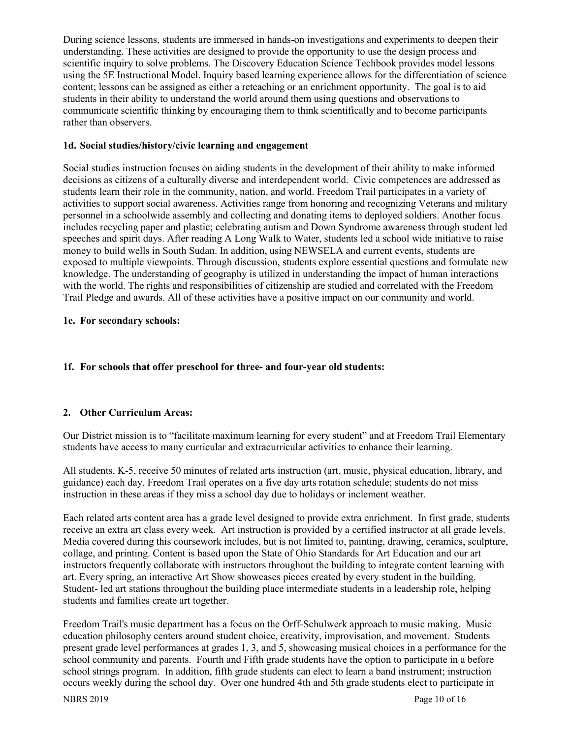During science lessons, students are immersed in hands-on investigations and experiments to deepen their understanding. These activities are designed to provide the opportunity to use the design process and scientific inquiry to solve problems. The Discovery Education Science Techbook provides model lessons using the 5E Instructional Model. Inquiry based learning experience allows for the differentiation of science content; lessons can be assigned as either a reteaching or an enrichment opportunity. The goal is to aid students in their ability to understand the world around them using questions and observations to communicate scientific thinking by encouraging them to think scientifically and to become participants rather than observers.

#### **1d. Social studies/history/civic learning and engagement**

Social studies instruction focuses on aiding students in the development of their ability to make informed decisions as citizens of a culturally diverse and interdependent world. Civic competences are addressed as students learn their role in the community, nation, and world. Freedom Trail participates in a variety of activities to support social awareness. Activities range from honoring and recognizing Veterans and military personnel in a schoolwide assembly and collecting and donating items to deployed soldiers. Another focus includes recycling paper and plastic; celebrating autism and Down Syndrome awareness through student led speeches and spirit days. After reading A Long Walk to Water, students led a school wide initiative to raise money to build wells in South Sudan. In addition, using NEWSELA and current events, students are exposed to multiple viewpoints. Through discussion, students explore essential questions and formulate new knowledge. The understanding of geography is utilized in understanding the impact of human interactions with the world. The rights and responsibilities of citizenship are studied and correlated with the Freedom Trail Pledge and awards. All of these activities have a positive impact on our community and world.

# **1e. For secondary schools:**

# **1f. For schools that offer preschool for three- and four-year old students:**

# **2. Other Curriculum Areas:**

Our District mission is to "facilitate maximum learning for every student" and at Freedom Trail Elementary students have access to many curricular and extracurricular activities to enhance their learning.

All students, K-5, receive 50 minutes of related arts instruction (art, music, physical education, library, and guidance) each day. Freedom Trail operates on a five day arts rotation schedule; students do not miss instruction in these areas if they miss a school day due to holidays or inclement weather.

Each related arts content area has a grade level designed to provide extra enrichment. In first grade, students receive an extra art class every week. Art instruction is provided by a certified instructor at all grade levels. Media covered during this coursework includes, but is not limited to, painting, drawing, ceramics, sculpture, collage, and printing. Content is based upon the State of Ohio Standards for Art Education and our art instructors frequently collaborate with instructors throughout the building to integrate content learning with art. Every spring, an interactive Art Show showcases pieces created by every student in the building. Student- led art stations throughout the building place intermediate students in a leadership role, helping students and families create art together.

Freedom Trail's music department has a focus on the Orff-Schulwerk approach to music making. Music education philosophy centers around student choice, creativity, improvisation, and movement. Students present grade level performances at grades 1, 3, and 5, showcasing musical choices in a performance for the school community and parents. Fourth and Fifth grade students have the option to participate in a before school strings program. In addition, fifth grade students can elect to learn a band instrument; instruction occurs weekly during the school day. Over one hundred 4th and 5th grade students elect to participate in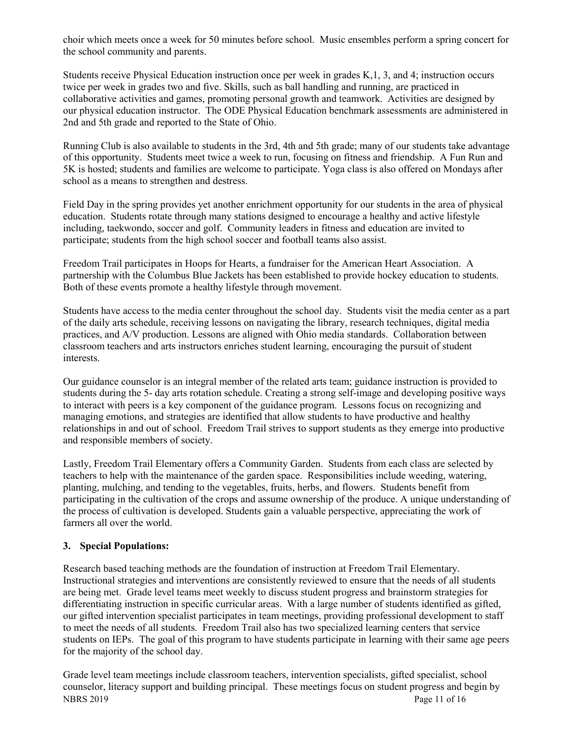choir which meets once a week for 50 minutes before school. Music ensembles perform a spring concert for the school community and parents.

Students receive Physical Education instruction once per week in grades K,1, 3, and 4; instruction occurs twice per week in grades two and five. Skills, such as ball handling and running, are practiced in collaborative activities and games, promoting personal growth and teamwork. Activities are designed by our physical education instructor. The ODE Physical Education benchmark assessments are administered in 2nd and 5th grade and reported to the State of Ohio.

Running Club is also available to students in the 3rd, 4th and 5th grade; many of our students take advantage of this opportunity. Students meet twice a week to run, focusing on fitness and friendship. A Fun Run and 5K is hosted; students and families are welcome to participate. Yoga class is also offered on Mondays after school as a means to strengthen and destress.

Field Day in the spring provides yet another enrichment opportunity for our students in the area of physical education. Students rotate through many stations designed to encourage a healthy and active lifestyle including, taekwondo, soccer and golf. Community leaders in fitness and education are invited to participate; students from the high school soccer and football teams also assist.

Freedom Trail participates in Hoops for Hearts, a fundraiser for the American Heart Association. A partnership with the Columbus Blue Jackets has been established to provide hockey education to students. Both of these events promote a healthy lifestyle through movement.

Students have access to the media center throughout the school day. Students visit the media center as a part of the daily arts schedule, receiving lessons on navigating the library, research techniques, digital media practices, and A/V production. Lessons are aligned with Ohio media standards. Collaboration between classroom teachers and arts instructors enriches student learning, encouraging the pursuit of student interests.

Our guidance counselor is an integral member of the related arts team; guidance instruction is provided to students during the 5- day arts rotation schedule. Creating a strong self-image and developing positive ways to interact with peers is a key component of the guidance program. Lessons focus on recognizing and managing emotions, and strategies are identified that allow students to have productive and healthy relationships in and out of school. Freedom Trail strives to support students as they emerge into productive and responsible members of society.

Lastly, Freedom Trail Elementary offers a Community Garden. Students from each class are selected by teachers to help with the maintenance of the garden space. Responsibilities include weeding, watering, planting, mulching, and tending to the vegetables, fruits, herbs, and flowers. Students benefit from participating in the cultivation of the crops and assume ownership of the produce. A unique understanding of the process of cultivation is developed. Students gain a valuable perspective, appreciating the work of farmers all over the world.

#### **3. Special Populations:**

Research based teaching methods are the foundation of instruction at Freedom Trail Elementary. Instructional strategies and interventions are consistently reviewed to ensure that the needs of all students are being met. Grade level teams meet weekly to discuss student progress and brainstorm strategies for differentiating instruction in specific curricular areas. With a large number of students identified as gifted, our gifted intervention specialist participates in team meetings, providing professional development to staff to meet the needs of all students. Freedom Trail also has two specialized learning centers that service students on IEPs. The goal of this program to have students participate in learning with their same age peers for the majority of the school day.

NBRS 2019 Page 11 of 16 Grade level team meetings include classroom teachers, intervention specialists, gifted specialist, school counselor, literacy support and building principal. These meetings focus on student progress and begin by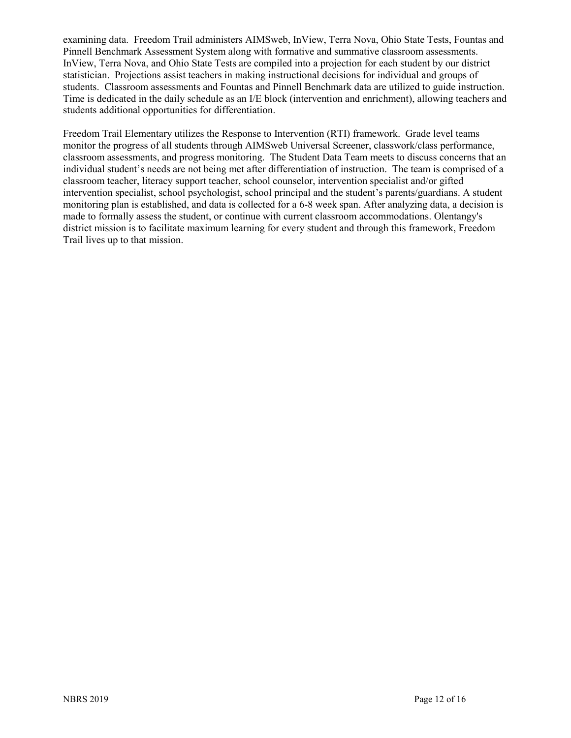examining data. Freedom Trail administers AIMSweb, InView, Terra Nova, Ohio State Tests, Fountas and Pinnell Benchmark Assessment System along with formative and summative classroom assessments. InView, Terra Nova, and Ohio State Tests are compiled into a projection for each student by our district statistician. Projections assist teachers in making instructional decisions for individual and groups of students. Classroom assessments and Fountas and Pinnell Benchmark data are utilized to guide instruction. Time is dedicated in the daily schedule as an I/E block (intervention and enrichment), allowing teachers and students additional opportunities for differentiation.

Freedom Trail Elementary utilizes the Response to Intervention (RTI) framework. Grade level teams monitor the progress of all students through AIMSweb Universal Screener, classwork/class performance, classroom assessments, and progress monitoring. The Student Data Team meets to discuss concerns that an individual student's needs are not being met after differentiation of instruction. The team is comprised of a classroom teacher, literacy support teacher, school counselor, intervention specialist and/or gifted intervention specialist, school psychologist, school principal and the student's parents/guardians. A student monitoring plan is established, and data is collected for a 6-8 week span. After analyzing data, a decision is made to formally assess the student, or continue with current classroom accommodations. Olentangy's district mission is to facilitate maximum learning for every student and through this framework, Freedom Trail lives up to that mission.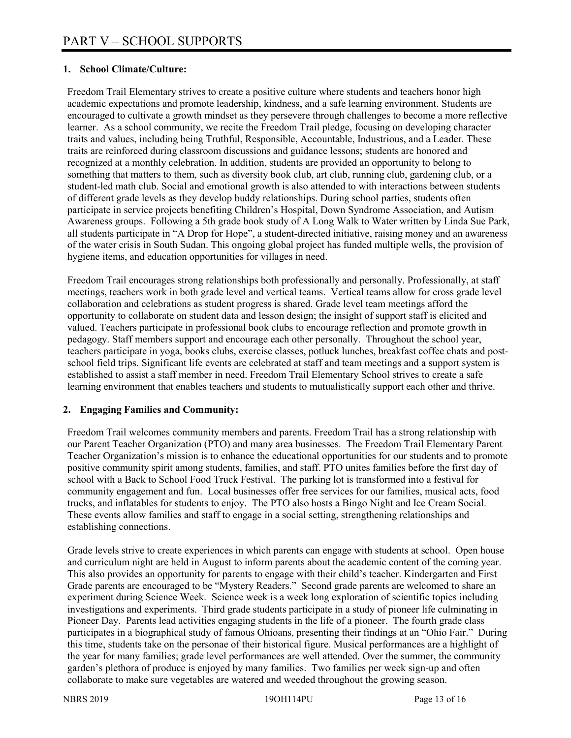# **1. School Climate/Culture:**

Freedom Trail Elementary strives to create a positive culture where students and teachers honor high academic expectations and promote leadership, kindness, and a safe learning environment. Students are encouraged to cultivate a growth mindset as they persevere through challenges to become a more reflective learner. As a school community, we recite the Freedom Trail pledge, focusing on developing character traits and values, including being Truthful, Responsible, Accountable, Industrious, and a Leader. These traits are reinforced during classroom discussions and guidance lessons; students are honored and recognized at a monthly celebration. In addition, students are provided an opportunity to belong to something that matters to them, such as diversity book club, art club, running club, gardening club, or a student-led math club. Social and emotional growth is also attended to with interactions between students of different grade levels as they develop buddy relationships. During school parties, students often participate in service projects benefiting Children's Hospital, Down Syndrome Association, and Autism Awareness groups. Following a 5th grade book study of A Long Walk to Water written by Linda Sue Park, all students participate in "A Drop for Hope", a student-directed initiative, raising money and an awareness of the water crisis in South Sudan. This ongoing global project has funded multiple wells, the provision of hygiene items, and education opportunities for villages in need.

Freedom Trail encourages strong relationships both professionally and personally. Professionally, at staff meetings, teachers work in both grade level and vertical teams. Vertical teams allow for cross grade level collaboration and celebrations as student progress is shared. Grade level team meetings afford the opportunity to collaborate on student data and lesson design; the insight of support staff is elicited and valued. Teachers participate in professional book clubs to encourage reflection and promote growth in pedagogy. Staff members support and encourage each other personally. Throughout the school year, teachers participate in yoga, books clubs, exercise classes, potluck lunches, breakfast coffee chats and postschool field trips. Significant life events are celebrated at staff and team meetings and a support system is established to assist a staff member in need. Freedom Trail Elementary School strives to create a safe learning environment that enables teachers and students to mutualistically support each other and thrive.

#### **2. Engaging Families and Community:**

Freedom Trail welcomes community members and parents. Freedom Trail has a strong relationship with our Parent Teacher Organization (PTO) and many area businesses. The Freedom Trail Elementary Parent Teacher Organization's mission is to enhance the educational opportunities for our students and to promote positive community spirit among students, families, and staff. PTO unites families before the first day of school with a Back to School Food Truck Festival. The parking lot is transformed into a festival for community engagement and fun. Local businesses offer free services for our families, musical acts, food trucks, and inflatables for students to enjoy. The PTO also hosts a Bingo Night and Ice Cream Social. These events allow families and staff to engage in a social setting, strengthening relationships and establishing connections.

Grade levels strive to create experiences in which parents can engage with students at school. Open house and curriculum night are held in August to inform parents about the academic content of the coming year. This also provides an opportunity for parents to engage with their child's teacher. Kindergarten and First Grade parents are encouraged to be "Mystery Readers." Second grade parents are welcomed to share an experiment during Science Week. Science week is a week long exploration of scientific topics including investigations and experiments. Third grade students participate in a study of pioneer life culminating in Pioneer Day. Parents lead activities engaging students in the life of a pioneer. The fourth grade class participates in a biographical study of famous Ohioans, presenting their findings at an "Ohio Fair." During this time, students take on the personae of their historical figure. Musical performances are a highlight of the year for many families; grade level performances are well attended. Over the summer, the community garden's plethora of produce is enjoyed by many families. Two families per week sign-up and often collaborate to make sure vegetables are watered and weeded throughout the growing season.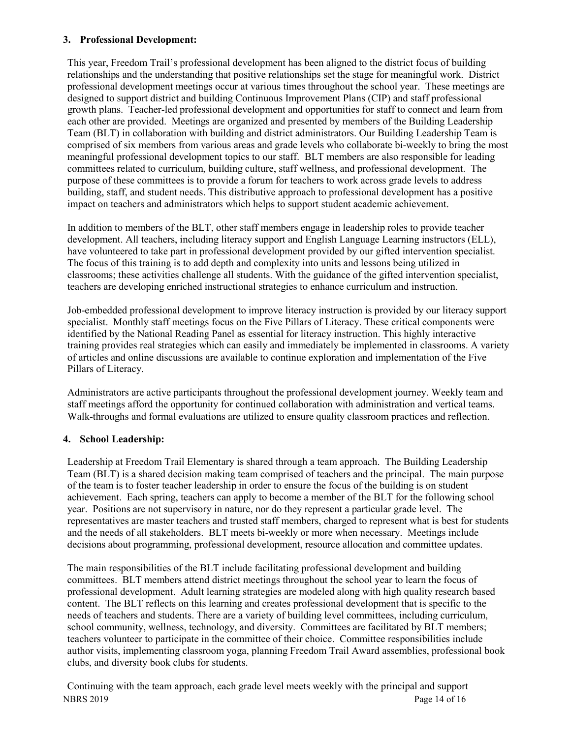# **3. Professional Development:**

This year, Freedom Trail's professional development has been aligned to the district focus of building relationships and the understanding that positive relationships set the stage for meaningful work. District professional development meetings occur at various times throughout the school year. These meetings are designed to support district and building Continuous Improvement Plans (CIP) and staff professional growth plans. Teacher-led professional development and opportunities for staff to connect and learn from each other are provided. Meetings are organized and presented by members of the Building Leadership Team (BLT) in collaboration with building and district administrators. Our Building Leadership Team is comprised of six members from various areas and grade levels who collaborate bi-weekly to bring the most meaningful professional development topics to our staff. BLT members are also responsible for leading committees related to curriculum, building culture, staff wellness, and professional development. The purpose of these committees is to provide a forum for teachers to work across grade levels to address building, staff, and student needs. This distributive approach to professional development has a positive impact on teachers and administrators which helps to support student academic achievement.

In addition to members of the BLT, other staff members engage in leadership roles to provide teacher development. All teachers, including literacy support and English Language Learning instructors (ELL), have volunteered to take part in professional development provided by our gifted intervention specialist. The focus of this training is to add depth and complexity into units and lessons being utilized in classrooms; these activities challenge all students. With the guidance of the gifted intervention specialist, teachers are developing enriched instructional strategies to enhance curriculum and instruction.

Job-embedded professional development to improve literacy instruction is provided by our literacy support specialist. Monthly staff meetings focus on the Five Pillars of Literacy. These critical components were identified by the National Reading Panel as essential for literacy instruction. This highly interactive training provides real strategies which can easily and immediately be implemented in classrooms. A variety of articles and online discussions are available to continue exploration and implementation of the Five Pillars of Literacy.

Administrators are active participants throughout the professional development journey. Weekly team and staff meetings afford the opportunity for continued collaboration with administration and vertical teams. Walk-throughs and formal evaluations are utilized to ensure quality classroom practices and reflection.

# **4. School Leadership:**

Leadership at Freedom Trail Elementary is shared through a team approach. The Building Leadership Team (BLT) is a shared decision making team comprised of teachers and the principal. The main purpose of the team is to foster teacher leadership in order to ensure the focus of the building is on student achievement. Each spring, teachers can apply to become a member of the BLT for the following school year. Positions are not supervisory in nature, nor do they represent a particular grade level. The representatives are master teachers and trusted staff members, charged to represent what is best for students and the needs of all stakeholders. BLT meets bi-weekly or more when necessary. Meetings include decisions about programming, professional development, resource allocation and committee updates.

The main responsibilities of the BLT include facilitating professional development and building committees. BLT members attend district meetings throughout the school year to learn the focus of professional development. Adult learning strategies are modeled along with high quality research based content. The BLT reflects on this learning and creates professional development that is specific to the needs of teachers and students. There are a variety of building level committees, including curriculum, school community, wellness, technology, and diversity. Committees are facilitated by BLT members; teachers volunteer to participate in the committee of their choice. Committee responsibilities include author visits, implementing classroom yoga, planning Freedom Trail Award assemblies, professional book clubs, and diversity book clubs for students.

NBRS 2019 Page 14 of 16 Continuing with the team approach, each grade level meets weekly with the principal and support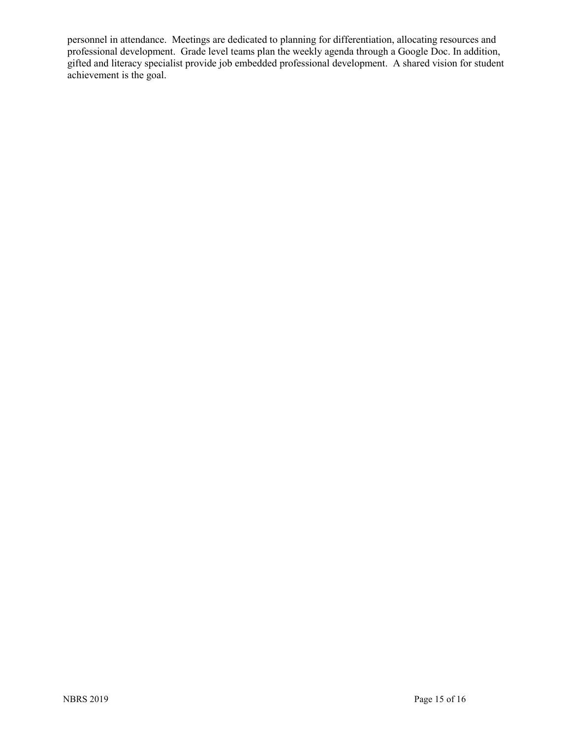personnel in attendance. Meetings are dedicated to planning for differentiation, allocating resources and professional development. Grade level teams plan the weekly agenda through a Google Doc. In addition, gifted and literacy specialist provide job embedded professional development. A shared vision for student achievement is the goal.